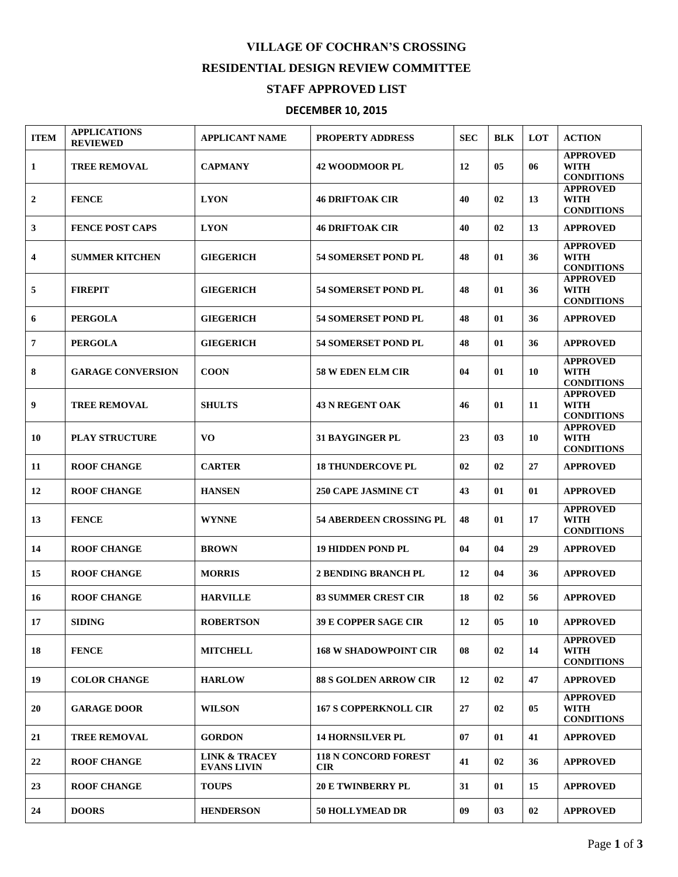## **VILLAGE OF COCHRAN'S CROSSING RESIDENTIAL DESIGN REVIEW COMMITTEE**

## **STAFF APPROVED LIST**

## **DECEMBER 10, 2015**

| <b>ITEM</b>  | <b>APPLICATIONS</b><br><b>REVIEWED</b> | <b>APPLICANT NAME</b>                          | PROPERTY ADDRESS                          | <b>SEC</b> | <b>BLK</b> | LOT | <b>ACTION</b>                                       |
|--------------|----------------------------------------|------------------------------------------------|-------------------------------------------|------------|------------|-----|-----------------------------------------------------|
| 1            | <b>TREE REMOVAL</b>                    | <b>CAPMANY</b>                                 | <b>42 WOODMOOR PL</b>                     | 12         | 05         | 06  | <b>APPROVED</b><br><b>WITH</b><br><b>CONDITIONS</b> |
| $\mathbf{2}$ | <b>FENCE</b>                           | <b>LYON</b>                                    | <b>46 DRIFTOAK CIR</b>                    | 40         | 02         | 13  | <b>APPROVED</b><br><b>WITH</b><br><b>CONDITIONS</b> |
| 3            | <b>FENCE POST CAPS</b>                 | <b>LYON</b>                                    | <b>46 DRIFTOAK CIR</b>                    | 40         | 02         | 13  | <b>APPROVED</b>                                     |
| 4            | <b>SUMMER KITCHEN</b>                  | <b>GIEGERICH</b>                               | <b>54 SOMERSET POND PL</b>                | 48         | 01         | 36  | <b>APPROVED</b><br><b>WITH</b><br><b>CONDITIONS</b> |
| 5            | <b>FIREPIT</b>                         | <b>GIEGERICH</b>                               | <b>54 SOMERSET POND PL</b>                | 48         | 01         | 36  | <b>APPROVED</b><br><b>WITH</b><br><b>CONDITIONS</b> |
| 6            | <b>PERGOLA</b>                         | <b>GIEGERICH</b>                               | <b>54 SOMERSET POND PL</b>                | 48         | 01         | 36  | <b>APPROVED</b>                                     |
| 7            | <b>PERGOLA</b>                         | <b>GIEGERICH</b>                               | <b>54 SOMERSET POND PL</b>                | 48         | 01         | 36  | <b>APPROVED</b>                                     |
| 8            | <b>GARAGE CONVERSION</b>               | <b>COON</b>                                    | <b>58 W EDEN ELM CIR</b>                  | 04         | 01         | 10  | <b>APPROVED</b><br><b>WITH</b><br><b>CONDITIONS</b> |
| 9            | <b>TREE REMOVAL</b>                    | <b>SHULTS</b>                                  | <b>43 N REGENT OAK</b>                    | 46         | 01         | 11  | <b>APPROVED</b><br><b>WITH</b><br><b>CONDITIONS</b> |
| 10           | <b>PLAY STRUCTURE</b>                  | V <sub>O</sub>                                 | <b>31 BAYGINGER PL</b>                    | 23         | 03         | 10  | <b>APPROVED</b><br><b>WITH</b><br><b>CONDITIONS</b> |
| 11           | <b>ROOF CHANGE</b>                     | <b>CARTER</b>                                  | <b>18 THUNDERCOVE PL</b>                  | 02         | 02         | 27  | <b>APPROVED</b>                                     |
| 12           | <b>ROOF CHANGE</b>                     | <b>HANSEN</b>                                  | <b>250 CAPE JASMINE CT</b>                | 43         | 01         | 01  | <b>APPROVED</b>                                     |
| 13           | <b>FENCE</b>                           | <b>WYNNE</b>                                   | <b>54 ABERDEEN CROSSING PL</b>            | 48         | 01         | 17  | <b>APPROVED</b><br><b>WITH</b><br><b>CONDITIONS</b> |
| 14           | <b>ROOF CHANGE</b>                     | <b>BROWN</b>                                   | <b>19 HIDDEN POND PL</b>                  | 04         | 04         | 29  | <b>APPROVED</b>                                     |
| 15           | <b>ROOF CHANGE</b>                     | <b>MORRIS</b>                                  | <b>2 BENDING BRANCH PL</b>                | 12         | 04         | 36  | <b>APPROVED</b>                                     |
| 16           | <b>ROOF CHANGE</b>                     | <b>HARVILLE</b>                                | <b>83 SUMMER CREST CIR</b>                | 18         | 02         | 56  | <b>APPROVED</b>                                     |
| 17           | <b>SIDING</b>                          | <b>ROBERTSON</b>                               | 39 E COPPER SAGE CIR                      | 12         | 05         | 10  | <b>APPROVED</b>                                     |
| 18           | <b>FENCE</b>                           | <b>MITCHELL</b>                                | <b>168 W SHADOWPOINT CIR</b>              | 08         | 02         | 14  | <b>APPROVED</b><br><b>WITH</b><br><b>CONDITIONS</b> |
| 19           | <b>COLOR CHANGE</b>                    | <b>HARLOW</b>                                  | <b>88 S GOLDEN ARROW CIR</b>              | 12         | 02         | 47  | <b>APPROVED</b>                                     |
| 20           | <b>GARAGE DOOR</b>                     | <b>WILSON</b>                                  | <b>167 S COPPERKNOLL CIR</b>              | 27         | 02         | 05  | <b>APPROVED</b><br>WITH<br><b>CONDITIONS</b>        |
| 21           | <b>TREE REMOVAL</b>                    | <b>GORDON</b>                                  | <b>14 HORNSILVER PL</b>                   | 07         | 01         | 41  | <b>APPROVED</b>                                     |
| 22           | <b>ROOF CHANGE</b>                     | <b>LINK &amp; TRACEY</b><br><b>EVANS LIVIN</b> | <b>118 N CONCORD FOREST</b><br><b>CIR</b> | 41         | 02         | 36  | <b>APPROVED</b>                                     |
| 23           | <b>ROOF CHANGE</b>                     | <b>TOUPS</b>                                   | <b>20 E TWINBERRY PL</b>                  | 31         | 01         | 15  | <b>APPROVED</b>                                     |
| 24           | <b>DOORS</b>                           | <b>HENDERSON</b>                               | 50 HOLLYMEAD DR                           | 09         | 03         | 02  | <b>APPROVED</b>                                     |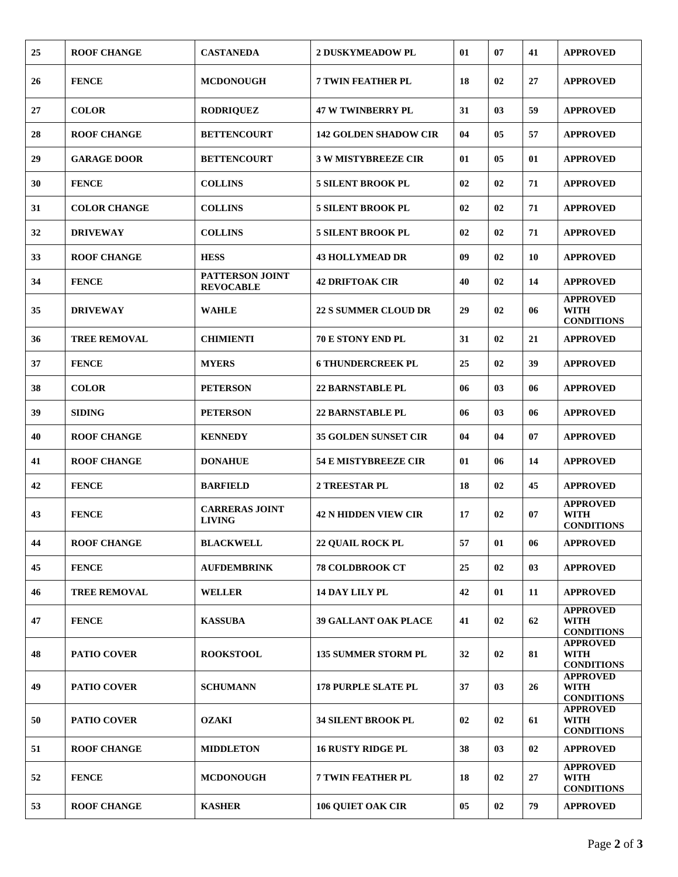| 25 | <b>ROOF CHANGE</b>  | <b>CASTANEDA</b>                       | <b>2 DUSKYMEADOW PL</b>      | 01 | 07             | 41 | <b>APPROVED</b>                                     |
|----|---------------------|----------------------------------------|------------------------------|----|----------------|----|-----------------------------------------------------|
| 26 | <b>FENCE</b>        | <b>MCDONOUGH</b>                       | <b>7 TWIN FEATHER PL</b>     | 18 | 02             | 27 | <b>APPROVED</b>                                     |
| 27 | <b>COLOR</b>        | <b>RODRIQUEZ</b>                       | <b>47 W TWINBERRY PL</b>     | 31 | 0 <sub>3</sub> | 59 | <b>APPROVED</b>                                     |
| 28 | <b>ROOF CHANGE</b>  | <b>BETTENCOURT</b>                     | <b>142 GOLDEN SHADOW CIR</b> | 04 | 05             | 57 | <b>APPROVED</b>                                     |
| 29 | <b>GARAGE DOOR</b>  | <b>BETTENCOURT</b>                     | <b>3 W MISTYBREEZE CIR</b>   | 01 | 05             | 01 | <b>APPROVED</b>                                     |
| 30 | <b>FENCE</b>        | <b>COLLINS</b>                         | <b>5 SILENT BROOK PL</b>     | 02 | 02             | 71 | <b>APPROVED</b>                                     |
| 31 | <b>COLOR CHANGE</b> | <b>COLLINS</b>                         | <b>5 SILENT BROOK PL</b>     | 02 | 02             | 71 | <b>APPROVED</b>                                     |
| 32 | <b>DRIVEWAY</b>     | <b>COLLINS</b>                         | <b>5 SILENT BROOK PL</b>     | 02 | 02             | 71 | <b>APPROVED</b>                                     |
| 33 | <b>ROOF CHANGE</b>  | <b>HESS</b>                            | <b>43 HOLLYMEAD DR</b>       | 09 | 02             | 10 | <b>APPROVED</b>                                     |
| 34 | <b>FENCE</b>        | PATTERSON JOINT<br><b>REVOCABLE</b>    | <b>42 DRIFTOAK CIR</b>       | 40 | 02             | 14 | <b>APPROVED</b>                                     |
| 35 | <b>DRIVEWAY</b>     | <b>WAHLE</b>                           | <b>22 S SUMMER CLOUD DR</b>  | 29 | 02             | 06 | <b>APPROVED</b><br><b>WITH</b><br><b>CONDITIONS</b> |
| 36 | <b>TREE REMOVAL</b> | <b>CHIMIENTI</b>                       | <b>70 E STONY END PL</b>     | 31 | 02             | 21 | <b>APPROVED</b>                                     |
| 37 | <b>FENCE</b>        | <b>MYERS</b>                           | <b>6 THUNDERCREEK PL</b>     | 25 | 02             | 39 | <b>APPROVED</b>                                     |
| 38 | <b>COLOR</b>        | <b>PETERSON</b>                        | <b>22 BARNSTABLE PL</b>      | 06 | 03             | 06 | <b>APPROVED</b>                                     |
| 39 | <b>SIDING</b>       | <b>PETERSON</b>                        | <b>22 BARNSTABLE PL</b>      | 06 | 0 <sub>3</sub> | 06 | <b>APPROVED</b>                                     |
| 40 | <b>ROOF CHANGE</b>  | <b>KENNEDY</b>                         | <b>35 GOLDEN SUNSET CIR</b>  | 04 | 04             | 07 | <b>APPROVED</b>                                     |
| 41 | <b>ROOF CHANGE</b>  | <b>DONAHUE</b>                         | <b>54 E MISTYBREEZE CIR</b>  | 01 | 06             | 14 | <b>APPROVED</b>                                     |
| 42 | <b>FENCE</b>        | <b>BARFIELD</b>                        | 2 TREESTAR PL                | 18 | 02             | 45 | <b>APPROVED</b>                                     |
| 43 | <b>FENCE</b>        | <b>CARRERAS JOINT</b><br><b>LIVING</b> | <b>42 N HIDDEN VIEW CIR</b>  | 17 | 02             | 07 | <b>APPROVED</b><br><b>WITH</b><br><b>CONDITIONS</b> |
| 44 | <b>ROOF CHANGE</b>  | <b>BLACKWELL</b>                       | <b>22 QUAIL ROCK PL</b>      | 57 | 01             | 06 | <b>APPROVED</b>                                     |
| 45 | <b>FENCE</b>        | <b>AUFDEMBRINK</b>                     | <b>78 COLDBROOK CT</b>       | 25 | 02             | 03 | <b>APPROVED</b>                                     |
| 46 | <b>TREE REMOVAL</b> | <b>WELLER</b>                          | <b>14 DAY LILY PL</b>        | 42 | 01             | 11 | <b>APPROVED</b>                                     |
| 47 | <b>FENCE</b>        | <b>KASSUBA</b>                         | <b>39 GALLANT OAK PLACE</b>  | 41 | 02             | 62 | <b>APPROVED</b><br><b>WITH</b><br><b>CONDITIONS</b> |
| 48 | <b>PATIO COVER</b>  | <b>ROOKSTOOL</b>                       | <b>135 SUMMER STORM PL</b>   | 32 | 02             | 81 | <b>APPROVED</b><br><b>WITH</b><br><b>CONDITIONS</b> |
| 49 | <b>PATIO COVER</b>  | <b>SCHUMANN</b>                        | <b>178 PURPLE SLATE PL</b>   | 37 | 03             | 26 | <b>APPROVED</b><br><b>WITH</b><br><b>CONDITIONS</b> |
| 50 | <b>PATIO COVER</b>  | <b>OZAKI</b>                           | <b>34 SILENT BROOK PL</b>    | 02 | 02             | 61 | <b>APPROVED</b><br><b>WITH</b><br><b>CONDITIONS</b> |
| 51 | <b>ROOF CHANGE</b>  | <b>MIDDLETON</b>                       | <b>16 RUSTY RIDGE PL</b>     | 38 | 03             | 02 | <b>APPROVED</b>                                     |
| 52 | <b>FENCE</b>        | <b>MCDONOUGH</b>                       | <b>7 TWIN FEATHER PL</b>     | 18 | 02             | 27 | <b>APPROVED</b><br><b>WITH</b><br><b>CONDITIONS</b> |
| 53 | <b>ROOF CHANGE</b>  | <b>KASHER</b>                          | <b>106 QUIET OAK CIR</b>     | 05 | 02             | 79 | <b>APPROVED</b>                                     |